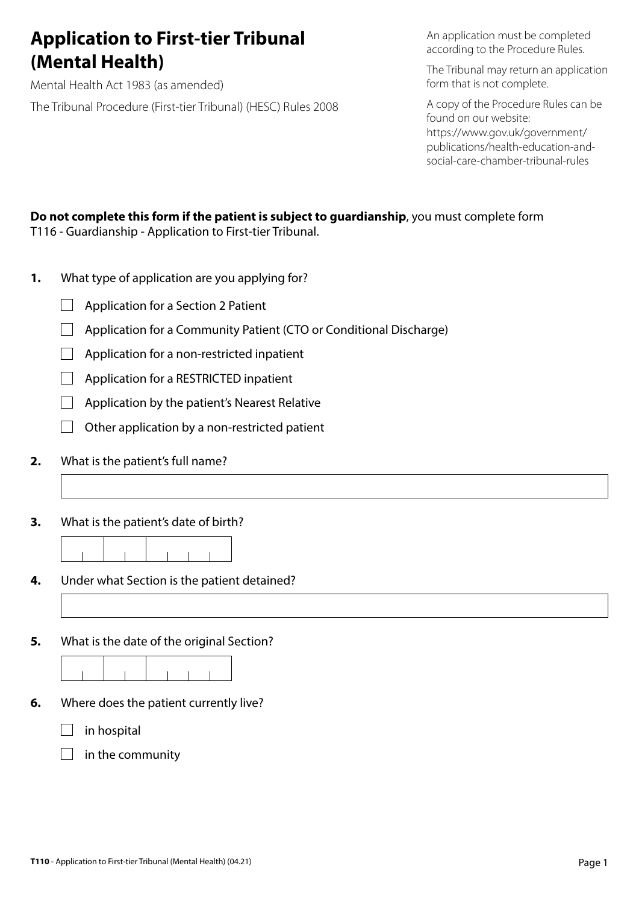# **Application to First-tier Tribunal (Mental Health)**

Mental Health Act 1983 (as amended) The Tribunal Procedure (First-tier Tribunal) (HESC) Rules 2008 An application must be completed according to the Procedure Rules.

The Tribunal may return an application form that is not complete.

A copy of the Procedure Rules can be found on our website: https://www.gov.uk/government/ publications/health-education-andsocial-care-chamber-tribunal-rules

#### **Do not complete this form if the patient is subject to guardianship**, you must complete form T116 - Guardianship - Application to First-tier Tribunal.

- **1.** What type of application are you applying for?
	- $\Box$  Application for a Section 2 Patient
	- $\Box$  Application for a Community Patient (CTO or Conditional Discharge)
	- $\Box$  Application for a non-restricted inpatient
	- $\Box$  Application for a RESTRICTED inpatient
	- $\Box$  Application by the patient's Nearest Relative
	- $\Box$  Other application by a non-restricted patient
- **2.** What is the patient's full name?
- **3.** What is the patient's date of birth?

**4.** Under what Section is the patient detained?

**5.** What is the date of the original Section?

- **6.** Where does the patient currently live?
	- $\Box$  in hospital
	- $\Box$  in the community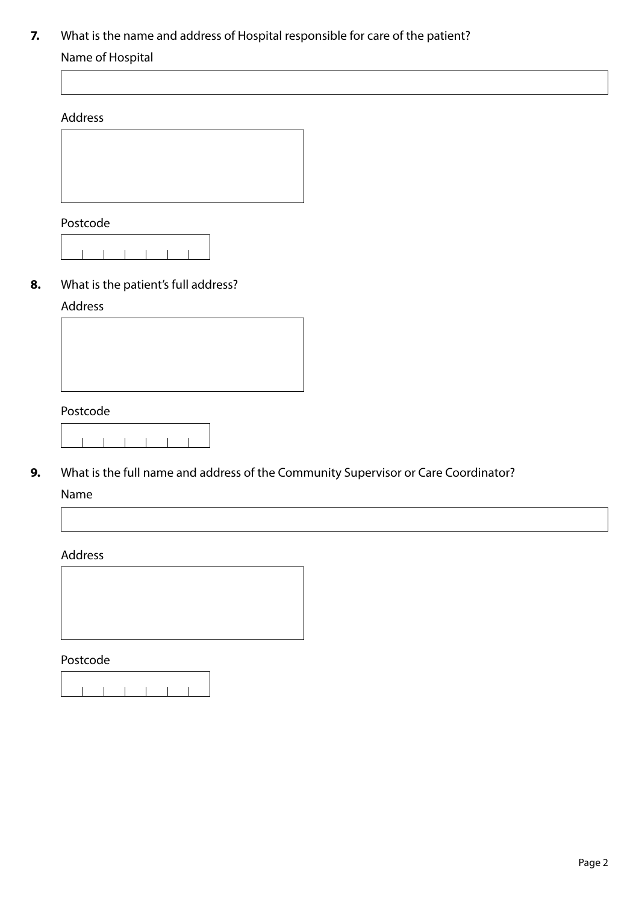# **7.** What is the name and address of Hospital responsible for care of the patient?

# Name of Hospital

#### Address



### Postcode

### **8.** What is the patient's full address?

### Address

#### Postcode

**9.** What is the full name and address of the Community Supervisor or Care Coordinator?

#### Name

#### Address



ĭ

Postcode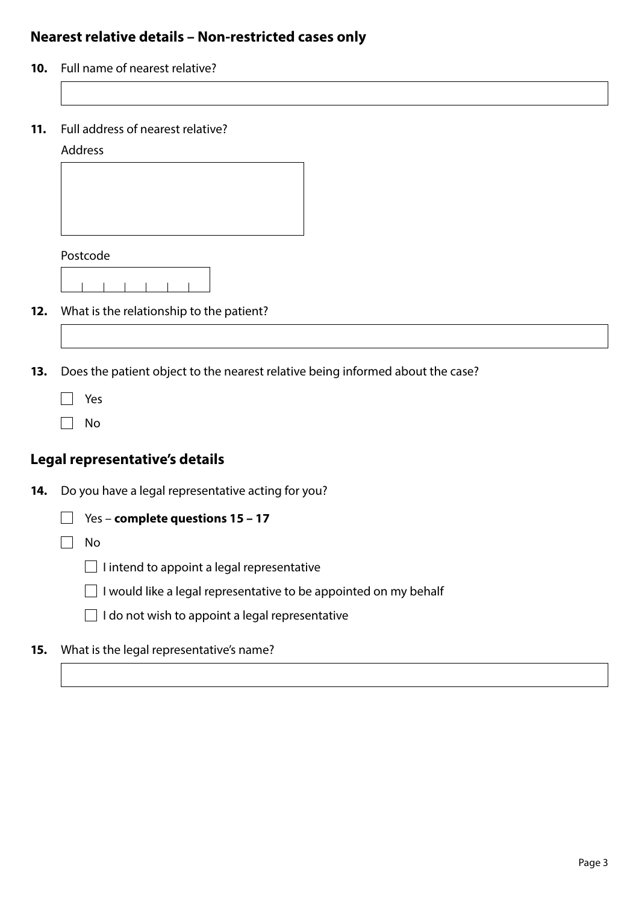# **Nearest relative details – Non-restricted cases only**

- **10.** Full name of nearest relative?
- **11.** Full address of nearest relative?

#### Address



- **12.** What is the relationship to the patient?
- **13.** Does the patient object to the nearest relative being informed about the case?
	- □ Yes
	- $\Box$  No

# **Legal representative's details**

- **14.** Do you have a legal representative acting for you?
	- Yes **complete questions 15 17**

 $\Box$  No

- $\Box$  I intend to appoint a legal representative
- $\Box$  I would like a legal representative to be appointed on my behalf
- $\Box$  I do not wish to appoint a legal representative
- **15.** What is the legal representative's name?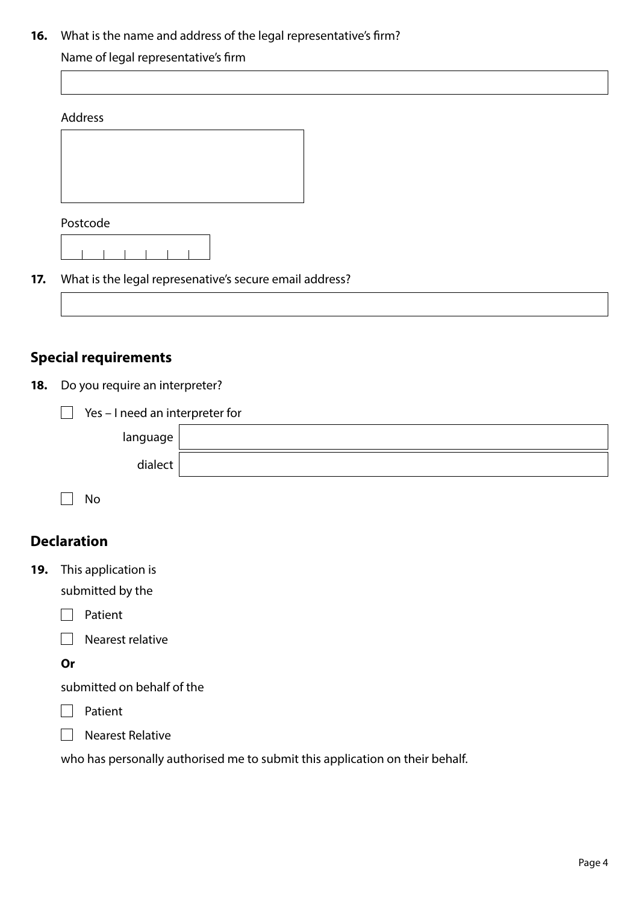### **16.** What is the name and address of the legal representative's firm?

### Name of legal representative's firm

| Address |  |
|---------|--|
|         |  |
|         |  |

Postcode

### **17.** What is the legal represenative's secure email address?



**18.** Do you require an interpreter?

|  |  | $\Box$ Yes - I need an interpreter for |  |
|--|--|----------------------------------------|--|
|--|--|----------------------------------------|--|

| language |  |
|----------|--|
| dialect  |  |

 $\Box$  No

# **Declaration**

**19.** This application is

submitted by the

 $\Box$  Patient

 $\Box$  Nearest relative

**Or** 

submitted on behalf of the

 $\Box$  Patient



who has personally authorised me to submit this application on their behalf.